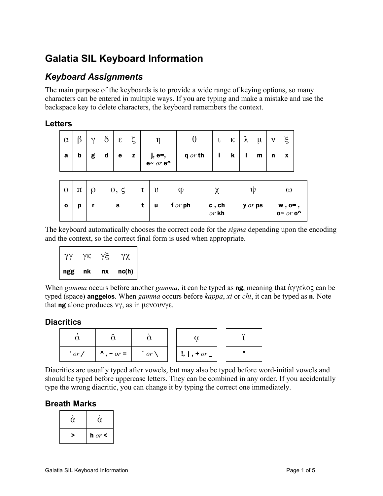# **Galatia SIL Keyboard Information**

### *Keyboard Assignments*

The main purpose of the keyboards is to provide a wide range of keying options, so many characters can be entered in multiple ways. If you are typing and make a mistake and use the backspace key to delete characters, the keyboard remembers the context.

#### **Letters**

| $\alpha$ | Ω | $\gamma$ | $\sim$      | $\epsilon$ | ີ<br>⊃ |                    |           | ◡ | К | Λ. | μ | ^ 1 | ۶÷<br>っ |
|----------|---|----------|-------------|------------|--------|--------------------|-----------|---|---|----|---|-----|---------|
| а        | b | g        | $\mathbf d$ | е          | z      | j, e=,<br>e~ or e^ | $q$ or th |   | n |    | m | n   | X       |

| $\mathbf O$ | π | ρ | $\sigma$ , | U | n, |           | , v                 | U       | ω                  |
|-------------|---|---|------------|---|----|-----------|---------------------|---------|--------------------|
| $\mathbf 0$ | p |   | s          |   | u  | f $or$ ph | $c$ , $ch$<br>or kh | y or ps | w, o=,<br>o~ or o^ |

The keyboard automatically chooses the correct code for the *sigma* depending upon the encoding and the context, so the correct final form is used when appropriate.

| ngg | nk | nx | nc(h) |
|-----|----|----|-------|
|     | γк | γξ | YX.   |

When *gamma* occurs before another *gamma*, it can be typed as ng, meaning that ἀγγελος can be typed (space) anggelos. When *gamma* occurs before *kappa*, *xi* or *chi*, it can be typed as n. Note that **ng** alone produces  $νγ$ , as in μενουνγε.

### **Diacritics**

|          |                      |              |                            | $\cdot \cdot$ |
|----------|----------------------|--------------|----------------------------|---------------|
| $'$ or / | $\lambda$ , ~ $or =$ | $or \lambda$ | $!,$ $,$ $,$ $+$ $or$ $\_$ | п             |

Diacritics are usually typed after vowels, but may also be typed before word-initial vowels and should be typed before uppercase letters. They can be combined in any order. If you accidentally type the wrong diacritic, you can change it by typing the correct one immediately.

### **Breath Marks**

| ιι |          |
|----|----------|
|    | h $or <$ |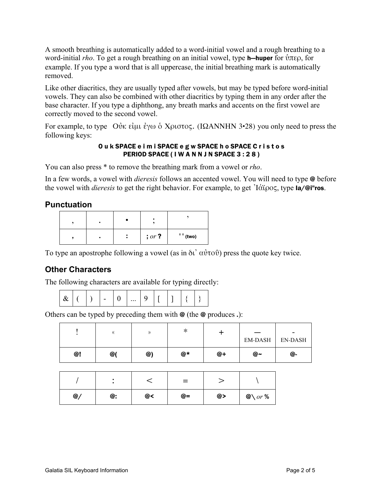A smooth breathing is automatically added to a word-initial vowel and a rough breathing to a word-initial *rho*. To get a rough breathing on an initial vowel, type **h—huper** for ὑπερ, for example. If you type a word that is all uppercase, the initial breathing mark is automatically removed.

Like other diacritics, they are usually typed after vowels, but may be typed before word-initial vowels. They can also be combined with other diacritics by typing them in any order after the base character. If you type a diphthong, any breath marks and accents on the first vowel are correctly moved to the second vowel.

For example, to type Οὐκ εἰμι ἐγω ὁ Χριστος. (ΙΩΑΝΝΗΝ 3•28) you only need to press the following keys:

#### O u k SPACE e i m i SPACE e g w SPACE h o SPACE C r i s t o s PERIOD SPACE (IW A N N J N SPACE 3 : 28)

You can also press \* to remove the breathing mark from a vowel or *rho*.

In a few words, a vowel with *dieresis* follows an accented vowel. You will need to type @ before the vowel with *dieresis* to get the right behavior. For example, to get Ἰάϊρος, type Ia/@i"ros.

#### **Punctuation**

|  | $, or$ ? | $'$ (two) |
|--|----------|-----------|

To type an apostrophe following a vowel (as in δι' αὐτοῦ) press the quote key twice.

### **Other Characters**

The following characters are available for typing directly:

|  |  |  |  |  | $\cdots$ |  |  |  |  |  |  |
|--|--|--|--|--|----------|--|--|--|--|--|--|
|--|--|--|--|--|----------|--|--|--|--|--|--|

Others can be typed by preceding them with  $\Theta$  (the  $\Theta$  produces .):

|    |    |    | ∗  |    | __<br>EM-DASH | $\sim$<br>EN-DASH |
|----|----|----|----|----|---------------|-------------------|
| @! | @( | @) | @* | @+ | @∼            | @-                |

|    |    |    | $=$  |    |                   |
|----|----|----|------|----|-------------------|
| @/ | @: | @< | $@=$ | @> | $@\qquadcirc r$ % |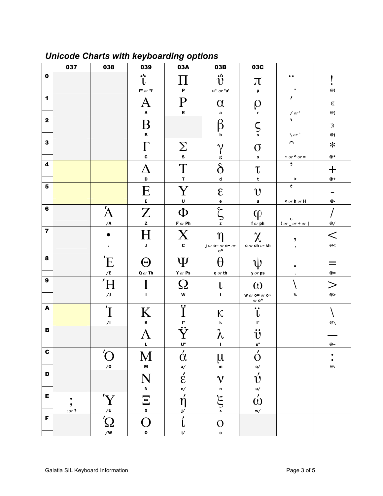|                           | 037    | 038                   | 039                                           | 03A                                                     | 03B                                                                     | 03C                                                    |                                               |                                             |
|---------------------------|--------|-----------------------|-----------------------------------------------|---------------------------------------------------------|-------------------------------------------------------------------------|--------------------------------------------------------|-----------------------------------------------|---------------------------------------------|
| $\mathbf 0$               |        |                       | $\cdot \cdot \cdot$<br>t                      |                                                         | $\ddot{\mathbf{U}}$                                                     | $\pi$                                                  | $\bullet$                                     |                                             |
|                           |        |                       | $i^{\mathsf{m}}$ or $\mathsf{u}^{\mathsf{m}}$ | P                                                       | $\mathbf{u}^{\mathfrak{m}}$ or $\mathfrak{n} \mathbf{u}^{\mathfrak{r}}$ | p                                                      | $\mathbf u$                                   | @!                                          |
| $\mathbf 1$               |        |                       | Ą                                             | $\mathbf P$                                             | $\alpha$                                                                | Q                                                      | $\mathbf{r}$                                  | $(\!($                                      |
|                           |        |                       | $\boldsymbol{\mathsf{A}}$                     | $\, {\bf R}$                                            | $\mathbf a$                                                             | r                                                      | / or '                                        | $@($                                        |
| $\mathbf{2}$              |        |                       | Β                                             |                                                         | ß                                                                       |                                                        | $\overline{\mathbf{A}}$                       |                                             |
|                           |        |                       | B                                             |                                                         | b                                                                       | $\mathcal{S}_{\mathbf{s}}$                             | $\sqrt{or}$                                   | $\mathcal{Y}$<br>$^\text{\textregistered})$ |
| $\mathbf{3}$              |        |                       |                                               |                                                         | $\gamma$                                                                |                                                        | $\overline{\phantom{1}}$                      | $\ast$                                      |
|                           |        |                       | G                                             | $\sum_{s}$                                              | g                                                                       | $\sigma$<br>$\mathbf s$                                | $\sim$ or $\sim$ or $=$                       | $@*$                                        |
| 4                         |        |                       |                                               |                                                         | $\delta$                                                                |                                                        | $\mathcal{L}$                                 |                                             |
|                           |        |                       | D                                             | $\mathbf T$<br>$\mathbf{r}$                             |                                                                         | $\tau$                                                 |                                               | 十                                           |
| $\bf 5$                   |        |                       |                                               |                                                         | $\boldsymbol{\mathsf{d}}$                                               | t                                                      | $\,$<br>$\mathfrak{e}$                        | $@+$                                        |
|                           |        |                       | Ε                                             | $\rm Y$                                                 | $\epsilon$                                                              | $\upsilon$                                             |                                               |                                             |
| 6                         |        |                       | $\mathsf{E}$                                  | $\mathsf{U}$                                            | e                                                                       | $\mathbf u$                                            | $<$ or $h$ or $H$                             | @-                                          |
|                           |        | Ά                     | $\overline{Z}$                                | $\Phi$                                                  | مح                                                                      | $\phi$                                                 |                                               |                                             |
|                           |        | $\overline{A}$        | $\mathbf{z}$                                  | $F$ or $Ph$                                             | z                                                                       | for ph                                                 | U<br>$\lfloor or \rfloor$ or $+$ or $\lfloor$ | $@/$                                        |
| $\overline{\mathbf{z}}$   |        |                       | $\boldsymbol{\mathrm{H}}$                     | X                                                       |                                                                         | $\chi$                                                 | ,                                             | $\,<\,$                                     |
|                           |        | ÷                     | J                                             | $\mathbf c$                                             | j or $e=$ or $e-$ or<br>$e^{\Lambda}$                                   | $c$ or $ch$ or $kh$                                    | $\overline{\phantom{a}}$                      | @<                                          |
| 8                         |        | 'E                    |                                               | Ψ                                                       |                                                                         |                                                        |                                               |                                             |
|                           |        | /E                    | $\Theta$                                      | $Y$ or $Ps$                                             | H                                                                       | W                                                      |                                               | $@=$                                        |
| $\boldsymbol{9}$          |        |                       | $Q$ or Th                                     |                                                         | $q$ or th                                                               | $y$ or $ps$                                            |                                               |                                             |
|                           |        | Ή                     |                                               | $\Omega$                                                | $\mathbf{L}$                                                            | $\omega$                                               |                                               | $\gt$                                       |
|                           |        | $/$                   | $\mathbf{I}$                                  | $\mathbf{w}$                                            | $\mathbf{i}$                                                            | <b>W</b> or $o = or o$<br>or $\mathbf{o}^{\mathbf{A}}$ | $\%$                                          | @>                                          |
| $\boldsymbol{\mathsf{A}}$ |        | $\overline{I}$        | K                                             | Ŧ<br>T                                                  | $\kappa$                                                                | $\bullet\bullet$                                       |                                               |                                             |
|                           |        | $\sqrt{1}$            | $\pmb{\mathsf{K}}$                            | ŀ,                                                      | $\pmb{\mathsf{k}}$                                                      | I"                                                     |                                               | @\                                          |
| $\, {\bf B}$              |        |                       | Λ                                             | $\overline{\mathbf{G}}$                                 | $\pmb{\lambda}$                                                         | $\ddot{\textbf{U}}$                                    |                                               |                                             |
|                           |        |                       | L                                             | <u>U"</u>                                               | T                                                                       | u"                                                     |                                               | @∼                                          |
| $\mathbf c$               |        | $\bigcirc$            |                                               | $\acute{\alpha}$                                        |                                                                         | $\acute{\mathrm{o}}$                                   |                                               | ٠                                           |
|                           |        | $\sqrt{0}$            | M<br>M                                        | a/                                                      | $\mu$<br>${\bf m}$                                                      | $\mathbf{0}/$                                          |                                               | $\bullet$<br>$^\copyright$                  |
| D                         |        |                       |                                               |                                                         |                                                                         |                                                        |                                               |                                             |
|                           |        |                       | N                                             | $\mathop{\varepsilon}\limits_{\mathop{\rm e}\nolimits}$ | $\mathbf V$                                                             | $\acute{\mathrm{U}}$                                   |                                               |                                             |
| E                         |        |                       | $\overline{\mathbf{N}}$                       |                                                         | $\mathbf n$                                                             | $\mathsf{u}/$                                          |                                               |                                             |
|                           | ٠<br>, | 'Y                    | $\Xi$                                         | $\acute{\eta}$                                          | $\sum_{x}$                                                              | $\acute{\omega}$                                       |                                               |                                             |
| F                         | , or 2 |                       | $\pmb{\mathsf{x}}$                            | $\mathbf{j}$                                            |                                                                         | w/                                                     |                                               |                                             |
|                           |        | $\overline{\text{Q}}$ | O                                             | í                                                       | $\mathcal{O}$                                                           |                                                        |                                               |                                             |
|                           |        |                       | $\mathbf{o}$                                  | $\mathsf{i}\mathsf{/}$                                  | $\mathbf{o}$                                                            |                                                        |                                               |                                             |

# **Unicode Charts with keyboarding options**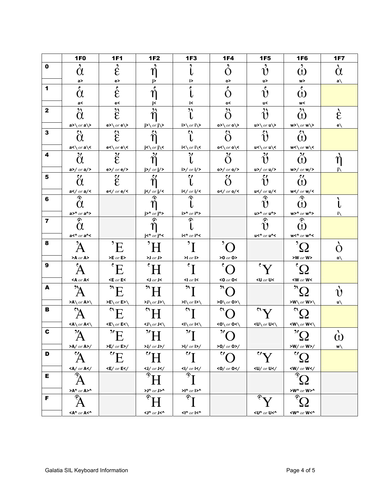|                         | <b>1F0</b>                                            | <b>1F1</b>                                             | <b>1F2</b>                                                    | 1F3                                   | <b>1F4</b>                                                                                                                                                                                          | <b>1F5</b>                                              | 1F6                                                           | <b>1F7</b>   |
|-------------------------|-------------------------------------------------------|--------------------------------------------------------|---------------------------------------------------------------|---------------------------------------|-----------------------------------------------------------------------------------------------------------------------------------------------------------------------------------------------------|---------------------------------------------------------|---------------------------------------------------------------|--------------|
| $\mathbf 0$             | $\alpha$                                              | $\mathring{\mathcal{E}}$                               |                                                               |                                       | O                                                                                                                                                                                                   | $\mathring{v}$                                          | $\omega$                                                      | $\alpha$     |
|                         | a>                                                    | e>                                                     | j>                                                            | i>                                    | 0>                                                                                                                                                                                                  | u>                                                      | w>                                                            | $a\setminus$ |
| 1                       | $\mathbf{S}$ .<br>$\alpha$                            | $\mathring{\epsilon}$                                  |                                                               |                                       | $\epsilon$                                                                                                                                                                                          | $\mathbf{c}$<br>าง                                      | $\epsilon$<br>$\omega$                                        |              |
|                         | a<                                                    | e<                                                     | j<                                                            | i<                                    | о<                                                                                                                                                                                                  | u<                                                      | w<                                                            |              |
| $\mathbf{2}$            | $\alpha$                                              | $\ddot{\hat{\epsilon}}$                                | "                                                             | "                                     | $\mathbf{M}$<br>O                                                                                                                                                                                   | $\mathfrak{z}$                                          | ᠈<br>$\Omega$                                                 | È            |
| 3                       | a>\ $or$ a\><br>$\omega$                              | $e > \sqrt{or e}$                                      | j>\ $or$ j\><br>$\mathbf{C}$                                  | i>\ $or$ i\><br>$\mathbf{C}$          | 0>\ $or$ 0\><br>$\mathbf{C}$                                                                                                                                                                        | $u>\sqrt{or u}$                                         | $w>\sqrt{or w}$                                               | $e\setminus$ |
|                         | $\alpha$                                              | $\mathcal{\hat{E}}$                                    | η                                                             |                                       | O                                                                                                                                                                                                   |                                                         | $\Omega$                                                      |              |
| 4                       | $a < \sqrt{or a} <$<br>$\mathcal{H}$                  | $e<\sqrt{or}e<$                                        | $j < \ or \ j <$                                              | i<∖ <i>or</i> i∖<<br>$\mathbf{v}$     | $0<\sqrt{or}$ 0 $\lt$<br>$\mathcal{H}$                                                                                                                                                              | u<\ $or$ u\<<br>$\mathcal{H}$                           | $\mathbf{w}$ <\ $or$ $\mathbf{w}\$ <<br>$\mathcal{H}$         |              |
|                         | $\alpha$<br>$a$ >/ or $a$ />                          | $\ddot{\mathcal{E}}$<br>$e$ >/ or $e$ />               | ň<br>$j$ >/ or $j$ />                                         | i>/ $or$ i/>                          | O<br>$0$ >/ or $0$ />                                                                                                                                                                               | ນ<br>$u$ >/ or $u$ />                                   | $\omega$<br>$w$ >/ or $w$ />                                  |              |
| 5                       | $\mathbf{C}$<br>$\alpha$                              | $\mathcal{E}'$                                         | $\mathcal{L}$                                                 | $\mathbf{C}$                          | $\mathbf{C}$                                                                                                                                                                                        | $\mathbf{c}$                                            | $\mathbf{C}$<br>$\omega$                                      |              |
|                         | a <math \sigma r a/<                                  | e <math or e/<                                         |                                                               | i <math or i/<                        | 0 <math or 0/<                                                                                                                                                                                      | u <math or u/<                                          | $w$ / or $w$ /<                                               |              |
| 6                       | $\alpha$                                              |                                                        | െ                                                             | ு                                     |                                                                                                                                                                                                     | ு                                                       | ு                                                             |              |
|                         | $a>0 r a^2$                                           |                                                        | $j>\sim o r j\sim$                                            | i>^ $or$ i^>                          |                                                                                                                                                                                                     | $u>^{\wedge}$ or $u^{\wedge}$                           | $w>0$ or $wn$                                                 | ı١           |
| $\overline{\mathbf{z}}$ | $\mathcal{L}$<br>$\alpha$                             |                                                        | ခ                                                             | $\widehat{\mathcal{C}}$               |                                                                                                                                                                                                     | $\mathcal{E}$                                           | ැ                                                             |              |
|                         | a<^ $or$ a^<                                          |                                                        | $j$ <^ or $j$ ^<                                              | i<^ $or$ i^<                          |                                                                                                                                                                                                     | $u<\sim$ or $u<\sim$                                    | $w < \sim or w \sim$                                          |              |
| 8                       |                                                       | $\mathbf{E}$                                           | $H^{\prime}$                                                  | $\mathbf{r}$                          | $\cdot$                                                                                                                                                                                             |                                                         | $^{\prime} \Omega$                                            |              |
|                         | $>$ A or A $>$                                        | $\blacktriangleright$ E or E $\blacktriangleright$     | $>$ J $_{or}$ J $>$                                           | $>1$ or $\blacktriangleright$         | $>0$ or 0>                                                                                                                                                                                          |                                                         | $>$ W $or$ W $>$                                              | 0/           |
| $\boldsymbol{9}$        |                                                       | $\mathbf{E}$                                           | $H^{\circ}$                                                   | $\mathbf{r}$                          | $\bar{\cdot}$                                                                                                                                                                                       | Y'                                                      | $\Omega^{\text{'}}$                                           |              |
|                         | $<$ A $or$ A $<$                                      | $\epsilon$ E or E $\epsilon$                           | $\triangleleft$ or J $\triangleleft$                          | $\left  \right $ or $\left  \right $  | <0 $or$ 0<                                                                                                                                                                                          | <u <math="">or U&lt;</u>                                | $<$ W or W $<$                                                |              |
| A                       | "A                                                    | $E^*$                                                  | $\mathcal{H}^{\prime\prime}$                                  | "I                                    | $^{\prime\prime}$ C                                                                                                                                                                                 |                                                         | $^{\circ}$ Ω                                                  |              |
|                         | >A\ $or$ A>\                                          | $\mathsf{PE}\setminus or\mathsf{E}\mathsf{P}\setminus$ | $>$ J $\sqrt{or}$ J $>$ $\sqrt{$                              | $\sum$ or $\sum$                      | $>0\$ or 0>\                                                                                                                                                                                        |                                                         | $SW\ or W>$                                                   | u∖           |
| в                       | $\overline{A}$                                        | $\mathcal{E}$                                          | $^{\prime\prime}$ U                                           | $\mathbf{C}$                          | $\mathbf{C}$                                                                                                                                                                                        | Y''                                                     | $\alpha$                                                      |              |
| C                       | $\langle A \rangle$ or $A \langle \rangle$<br>$2\ell$ | $\langle E \rangle$ or $E \langle \rangle$<br>$2\pi$   | $\langle J \rangle$ or $J \langle \rangle$<br>$2/\tau$ $\tau$ | $2\ell$ T                             | $\langle$ 0\\or 0<\<br>$\overline{\nu}$                                                                                                                                                             | $\left\langle\mathbf{U}\right\rangle$ or U< $\setminus$ | $\langle W \rangle$ or $W \langle \rangle$<br>$\overline{''}$ | ١.           |
|                         | A                                                     | Ľ                                                      | Π                                                             |                                       |                                                                                                                                                                                                     |                                                         | <u>{}</u>                                                     | $\omega$     |
| D                       | $>$ A/ or A $>$ /                                     | $>E/$ or $E$ $>$ /                                     | $>J$ / or $J$                                                 | $>1/$ or $1>$ /                       | $>0$ / or 0>/                                                                                                                                                                                       |                                                         | $>W/$ or $W$ $>$ /                                            | w\           |
|                         | A                                                     | $\vec{v}$ <sub>E</sub>                                 |                                                               | $\mathbf{v}$                          | $\overline{C}$                                                                                                                                                                                      | $\mathbf{v}^{\prime}$                                   | $\mathcal{C}$<br>52                                           |              |
| Е                       | $<$ A/ or A $<$ /<br>ଚ                                | $<$ E/ or E $<$ /                                      | $<$ J/ or J $<$ /<br>ଵ                                        | $\langle$ l/ or $\vert \langle$<br>ஒ. | <0/ or 0 </th <th><math display="inline">&lt;</math> U/ <math display="inline">or</math> U<!-- <math display="inline"-->\prime</th> <th><math>\langle W / or W \rangle</math><br/>G,</th> <th></th> | $<$ U/ $or$ U <math display="inline" \prime             | $\langle W / or W \rangle$<br>G,                              |              |
|                         |                                                       |                                                        |                                                               |                                       |                                                                                                                                                                                                     |                                                         |                                                               |              |
| F                       | $>$ A^ $or$ A>^<br>$\widehat{\mathbf{c}}$             |                                                        | >J^ $_{OT}$ J>^<br>$\mathbf{r}$                               | $>1^{\circ}$ or $1>^{\circ}$          |                                                                                                                                                                                                     |                                                         | $>W^{\wedge}$ or $W>^{\wedge}$<br>ල                           |              |
|                         |                                                       |                                                        |                                                               |                                       |                                                                                                                                                                                                     |                                                         | $<$ W^ $or$ W $<$ ^                                           |              |
|                         | $<$ A^ $or$ A<^                                       |                                                        | <j^ <math="">_{or} J&lt;^</j^>                                | $\langle$  ^ $_{or}$  <^              |                                                                                                                                                                                                     | $<$ U^ $or$ U $<$ ^                                     |                                                               |              |